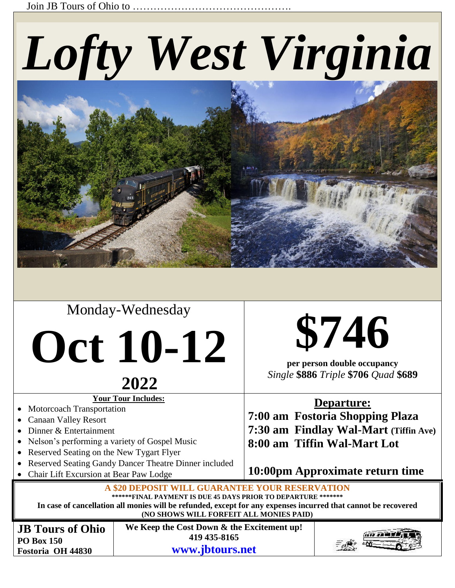Join JB Tours of Ohio to …………

# *Lofty West Virginia*



### Monday-Wednesday

## **Oct 10-12**

### **<sup>2022</sup>**

**Your Tour Includes:**

- Motorcoach Transportation
- Canaan Valley Resort
- Dinner & Entertainment
- Nelson's performing a variety of Gospel Music
- Reserved Seating on the New Tygart Flyer
- Reserved Seating Gandy Dancer Theatre Dinner included
- Chair Lift Excursion at Bear Paw Lodge

## **\$746**

**per person double occupancy** *Single* **\$886** *Triple* **\$706** *Quad* **\$689**

### **Departure:**

**7:00 am Fostoria Shopping Plaza 7:30 am Findlay Wal-Mart (Tiffin Ave) 8:00 am Tiffin Wal-Mart Lot**

**10:00pm Approximate return time**

**A \$20 DEPOSIT WILL GUARANTEE YOUR RESE \*\*\*\*\*\*FINAL PAYMENT IS DUE 45 DAYS PRIOR TO DEPARTURE \*\*\*\*\*\*\***

**In case of cancellation all monies will be refunded, except for any expenses incurred that cannot be recovered**

**(NO SHOWS WILL FORFEIT ALL MONIES PAID)**

**JB Tours of Ohio PO Box 150 Fostoria OH 44830**

**We Keep the Cost Down & the Excitement up! 419 435-8165** 

**[www.jbtours.net](http://www.jbtours.net/)**